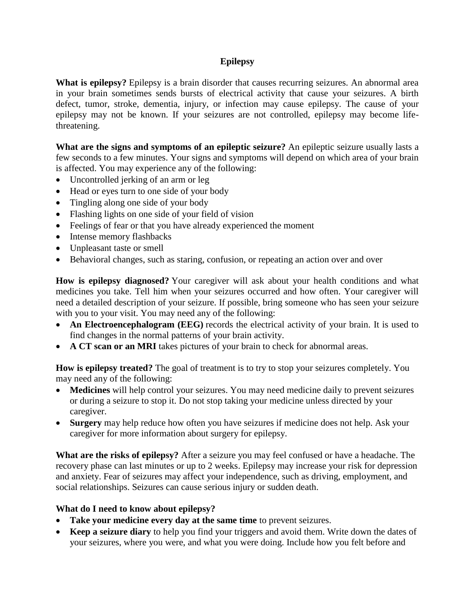# **Epilepsy**

**What is epilepsy?** Epilepsy is a brain disorder that causes recurring seizures. An abnormal area in your brain sometimes sends bursts of electrical activity that cause your seizures. A birth defect, tumor, stroke, dementia, injury, or infection may cause epilepsy. The cause of your epilepsy may not be known. If your seizures are not controlled, epilepsy may become lifethreatening.

**What are the signs and symptoms of an epileptic seizure?** An epileptic seizure usually lasts a few seconds to a few minutes. Your signs and symptoms will depend on which area of your brain is affected. You may experience any of the following:

- Uncontrolled jerking of an arm or leg
- Head or eyes turn to one side of your body
- Tingling along one side of your body
- Flashing lights on one side of your field of vision
- Feelings of fear or that you have already experienced the moment
- Intense memory flashbacks
- Unpleasant taste or smell
- Behavioral changes, such as staring, confusion, or repeating an action over and over

**How is epilepsy diagnosed?** Your caregiver will ask about your health conditions and what medicines you take. Tell him when your seizures occurred and how often. Your caregiver will need a detailed description of your seizure. If possible, bring someone who has seen your seizure with you to your visit. You may need any of the following:

- An Electroencephalogram (EEG) records the electrical activity of your brain. It is used to find changes in the normal patterns of your brain activity.
- **A CT scan or an MRI** takes pictures of your brain to check for abnormal areas.

**How is epilepsy treated?** The goal of treatment is to try to stop your seizures completely. You may need any of the following:

- **Medicines** will help control your seizures. You may need medicine daily to prevent seizures or during a seizure to stop it. Do not stop taking your medicine unless directed by your caregiver.
- **Surgery** may help reduce how often you have seizures if medicine does not help. Ask your caregiver for more information about surgery for epilepsy.

**What are the risks of epilepsy?** After a seizure you may feel confused or have a headache. The recovery phase can last minutes or up to 2 weeks. Epilepsy may increase your risk for depression and anxiety. Fear of seizures may affect your independence, such as driving, employment, and social relationships. Seizures can cause serious injury or sudden death.

## **What do I need to know about epilepsy?**

- **Take your medicine every day at the same time** to prevent seizures.
- **Keep a seizure diary** to help you find your triggers and avoid them. Write down the dates of your seizures, where you were, and what you were doing. Include how you felt before and